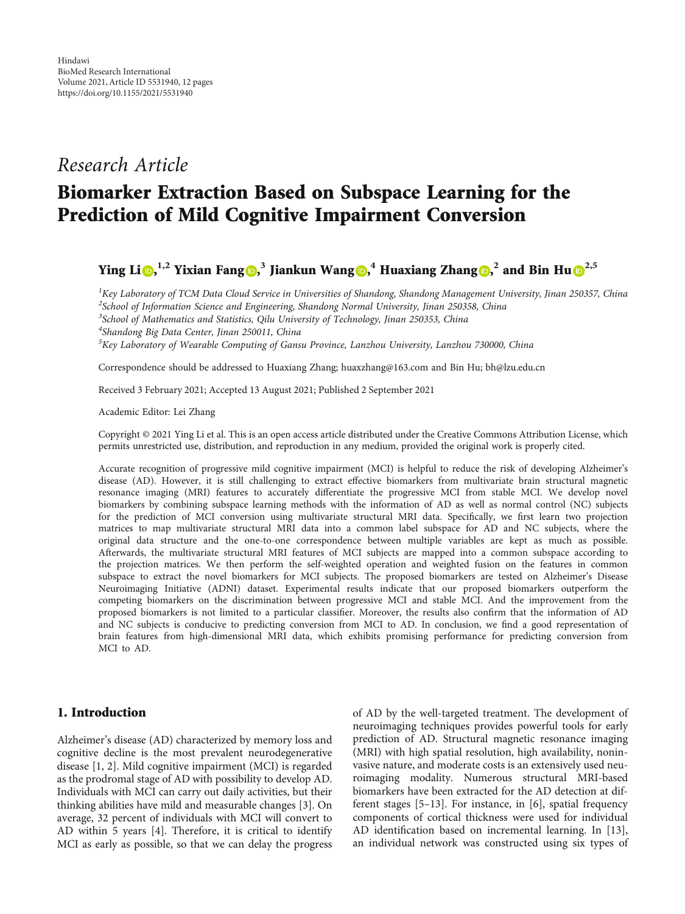## Research Article

# Biomarker Extraction Based on Subspace Learning for the Prediction of Mild Cognitive Impairment Conversion

### Ying Li  $\textbf{D},^{1,2}$  $\textbf{D},^{1,2}$  $\textbf{D},^{1,2}$  Yixian Fang  $\textbf{D},^{3}$  Jiankun Wang  $\textbf{D},^{4}$  Huaxiang Zhang  $\textbf{D},^{2}$  and Bin Hu  $\textbf{D}^{2,5}$

 ${}^{1}$ Key Laboratory of TCM Data Cloud Service in Universities of Shandong, Shandong Management University, Jinan 250357, China <sup>2</sup>School of Information Science and Engineering, Shandong Normal University, Jinan 250358, China <sup>3</sup>School of Mathematics and Statistics, Qilu University of Technology, Jinan 250353, China 4 Shandong Big Data Center, Jinan 250011, China

<sup>5</sup>Key Laboratory of Wearable Computing of Gansu Province, Lanzhou University, Lanzhou 730000, China

Correspondence should be addressed to Huaxiang Zhang; huaxzhang@163.com and Bin Hu; bh@lzu.edu.cn

Received 3 February 2021; Accepted 13 August 2021; Published 2 September 2021

Academic Editor: Lei Zhang

Copyright © 2021 Ying Li et al. This is an open access article distributed under the [Creative Commons Attribution License](https://creativecommons.org/licenses/by/4.0/), which permits unrestricted use, distribution, and reproduction in any medium, provided the original work is properly cited.

Accurate recognition of progressive mild cognitive impairment (MCI) is helpful to reduce the risk of developing Alzheimer's disease (AD). However, it is still challenging to extract effective biomarkers from multivariate brain structural magnetic resonance imaging (MRI) features to accurately differentiate the progressive MCI from stable MCI. We develop novel biomarkers by combining subspace learning methods with the information of AD as well as normal control (NC) subjects for the prediction of MCI conversion using multivariate structural MRI data. Specifically, we first learn two projection matrices to map multivariate structural MRI data into a common label subspace for AD and NC subjects, where the original data structure and the one-to-one correspondence between multiple variables are kept as much as possible. Afterwards, the multivariate structural MRI features of MCI subjects are mapped into a common subspace according to the projection matrices. We then perform the self-weighted operation and weighted fusion on the features in common subspace to extract the novel biomarkers for MCI subjects. The proposed biomarkers are tested on Alzheimer's Disease Neuroimaging Initiative (ADNI) dataset. Experimental results indicate that our proposed biomarkers outperform the competing biomarkers on the discrimination between progressive MCI and stable MCI. And the improvement from the proposed biomarkers is not limited to a particular classifier. Moreover, the results also confirm that the information of AD and NC subjects is conducive to predicting conversion from MCI to AD. In conclusion, we find a good representation of brain features from high-dimensional MRI data, which exhibits promising performance for predicting conversion from MCI to AD.

#### 1. Introduction

Alzheimer's disease (AD) characterized by memory loss and cognitive decline is the most prevalent neurodegenerative disease [\[1, 2\]](#page-9-0). Mild cognitive impairment (MCI) is regarded as the prodromal stage of AD with possibility to develop AD. Individuals with MCI can carry out daily activities, but their thinking abilities have mild and measurable changes [\[3\]](#page-9-0). On average, 32 percent of individuals with MCI will convert to AD within 5 years [[4\]](#page-9-0). Therefore, it is critical to identify MCI as early as possible, so that we can delay the progress

of AD by the well-targeted treatment. The development of neuroimaging techniques provides powerful tools for early prediction of AD. Structural magnetic resonance imaging (MRI) with high spatial resolution, high availability, noninvasive nature, and moderate costs is an extensively used neuroimaging modality. Numerous structural MRI-based biomarkers have been extracted for the AD detection at different stages [[5](#page-9-0)–[13](#page-9-0)]. For instance, in [[6\]](#page-9-0), spatial frequency components of cortical thickness were used for individual AD identification based on incremental learning. In [[13](#page-9-0)], an individual network was constructed using six types of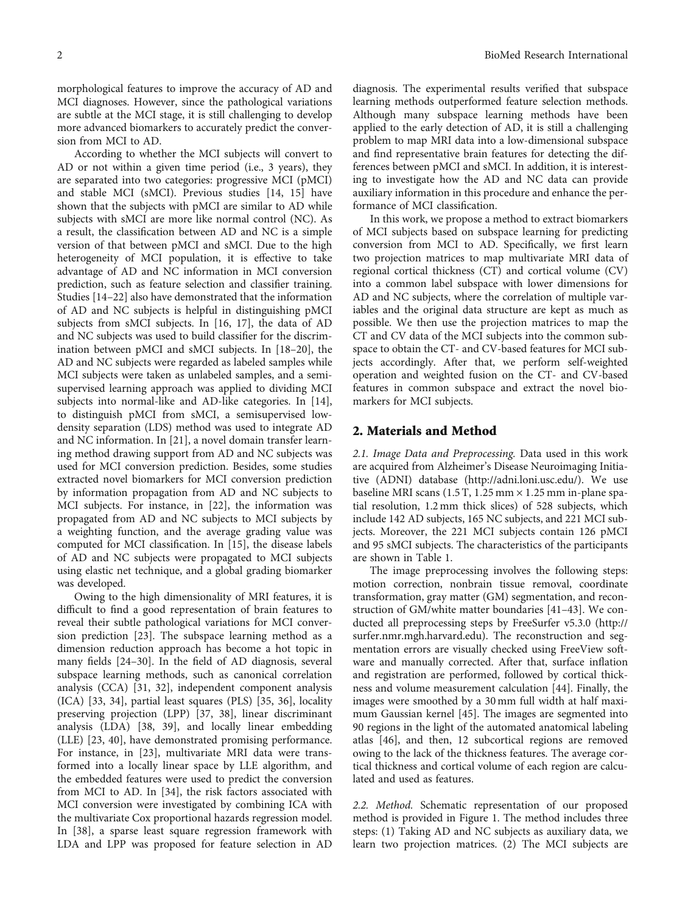<span id="page-1-0"></span>morphological features to improve the accuracy of AD and MCI diagnoses. However, since the pathological variations are subtle at the MCI stage, it is still challenging to develop more advanced biomarkers to accurately predict the conversion from MCI to AD.

According to whether the MCI subjects will convert to AD or not within a given time period (i.e., 3 years), they are separated into two categories: progressive MCI (pMCI) and stable MCI (sMCI). Previous studies [[14](#page-9-0), [15\]](#page-9-0) have shown that the subjects with pMCI are similar to AD while subjects with sMCI are more like normal control (NC). As a result, the classification between AD and NC is a simple version of that between pMCI and sMCI. Due to the high heterogeneity of MCI population, it is effective to take advantage of AD and NC information in MCI conversion prediction, such as feature selection and classifier training. Studies [\[14](#page-9-0)–[22\]](#page-10-0) also have demonstrated that the information of AD and NC subjects is helpful in distinguishing pMCI subjects from sMCI subjects. In [[16](#page-10-0), [17\]](#page-10-0), the data of AD and NC subjects was used to build classifier for the discrimination between pMCI and sMCI subjects. In [[18](#page-10-0)–[20](#page-10-0)], the AD and NC subjects were regarded as labeled samples while MCI subjects were taken as unlabeled samples, and a semisupervised learning approach was applied to dividing MCI subjects into normal-like and AD-like categories. In [[14](#page-9-0)], to distinguish pMCI from sMCI, a semisupervised lowdensity separation (LDS) method was used to integrate AD and NC information. In [[21](#page-10-0)], a novel domain transfer learning method drawing support from AD and NC subjects was used for MCI conversion prediction. Besides, some studies extracted novel biomarkers for MCI conversion prediction by information propagation from AD and NC subjects to MCI subjects. For instance, in [\[22\]](#page-10-0), the information was propagated from AD and NC subjects to MCI subjects by a weighting function, and the average grading value was computed for MCI classification. In [[15](#page-9-0)], the disease labels of AD and NC subjects were propagated to MCI subjects using elastic net technique, and a global grading biomarker was developed.

Owing to the high dimensionality of MRI features, it is difficult to find a good representation of brain features to reveal their subtle pathological variations for MCI conversion prediction [[23](#page-10-0)]. The subspace learning method as a dimension reduction approach has become a hot topic in many fields [\[24](#page-10-0)–[30](#page-10-0)]. In the field of AD diagnosis, several subspace learning methods, such as canonical correlation analysis (CCA) [\[31, 32\]](#page-10-0), independent component analysis (ICA) [[33](#page-10-0), [34\]](#page-10-0), partial least squares (PLS) [\[35, 36](#page-10-0)], locality preserving projection (LPP) [[37](#page-10-0), [38](#page-10-0)], linear discriminant analysis (LDA) [[38](#page-10-0), [39\]](#page-10-0), and locally linear embedding (LLE) [[23, 40\]](#page-10-0), have demonstrated promising performance. For instance, in [\[23\]](#page-10-0), multivariate MRI data were transformed into a locally linear space by LLE algorithm, and the embedded features were used to predict the conversion from MCI to AD. In [\[34\]](#page-10-0), the risk factors associated with MCI conversion were investigated by combining ICA with the multivariate Cox proportional hazards regression model. In [\[38\]](#page-10-0), a sparse least square regression framework with LDA and LPP was proposed for feature selection in AD

diagnosis. The experimental results verified that subspace learning methods outperformed feature selection methods. Although many subspace learning methods have been applied to the early detection of AD, it is still a challenging problem to map MRI data into a low-dimensional subspace and find representative brain features for detecting the differences between pMCI and sMCI. In addition, it is interesting to investigate how the AD and NC data can provide auxiliary information in this procedure and enhance the performance of MCI classification.

In this work, we propose a method to extract biomarkers of MCI subjects based on subspace learning for predicting conversion from MCI to AD. Specifically, we first learn two projection matrices to map multivariate MRI data of regional cortical thickness (CT) and cortical volume (CV) into a common label subspace with lower dimensions for AD and NC subjects, where the correlation of multiple variables and the original data structure are kept as much as possible. We then use the projection matrices to map the CT and CV data of the MCI subjects into the common subspace to obtain the CT- and CV-based features for MCI subjects accordingly. After that, we perform self-weighted operation and weighted fusion on the CT- and CV-based features in common subspace and extract the novel biomarkers for MCI subjects.

#### 2. Materials and Method

2.1. Image Data and Preprocessing. Data used in this work are acquired from Alzheimer's Disease Neuroimaging Initiative (ADNI) database [\(http://adni.loni.usc.edu/\)](http://adni.loni.usc.edu/). We use baseline MRI scans (1.5 T, 1.25 mm × 1.25 mm in-plane spatial resolution, 1.2 mm thick slices) of 528 subjects, which include 142 AD subjects, 165 NC subjects, and 221 MCI subjects. Moreover, the 221 MCI subjects contain 126 pMCI and 95 sMCI subjects. The characteristics of the participants are shown in Table [1](#page-2-0).

The image preprocessing involves the following steps: motion correction, nonbrain tissue removal, coordinate transformation, gray matter (GM) segmentation, and reconstruction of GM/white matter boundaries [\[41](#page-10-0)–[43\]](#page-10-0). We conducted all preprocessing steps by FreeSurfer v5.3.0 ([http://](http://surfer.nmr.mgh.harvard.edu) [surfer.nmr.mgh.harvard.edu\)](http://surfer.nmr.mgh.harvard.edu). The reconstruction and segmentation errors are visually checked using FreeView software and manually corrected. After that, surface inflation and registration are performed, followed by cortical thickness and volume measurement calculation [[44](#page-10-0)]. Finally, the images were smoothed by a 30 mm full width at half maximum Gaussian kernel [[45](#page-10-0)]. The images are segmented into 90 regions in the light of the automated anatomical labeling atlas [\[46\]](#page-10-0), and then, 12 subcortical regions are removed owing to the lack of the thickness features. The average cortical thickness and cortical volume of each region are calculated and used as features.

2.2. Method. Schematic representation of our proposed method is provided in Figure [1.](#page-3-0) The method includes three steps: (1) Taking AD and NC subjects as auxiliary data, we learn two projection matrices. (2) The MCI subjects are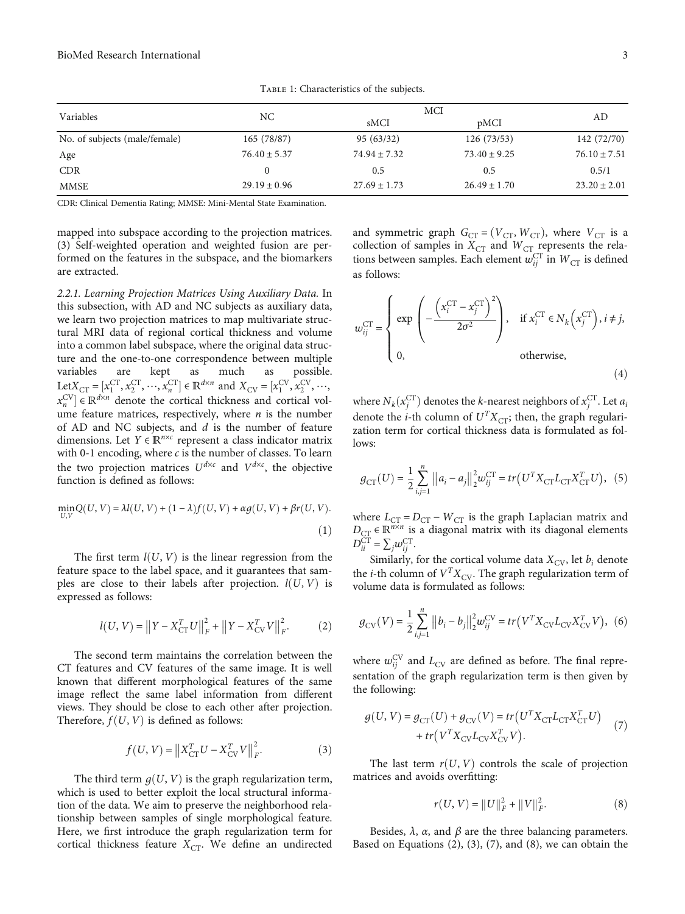<span id="page-2-0"></span>

| Variables                     |                  | <b>MCI</b>       |                  |                  |
|-------------------------------|------------------|------------------|------------------|------------------|
|                               | NC.              | sMCI             | pMCI             | AD               |
| No. of subjects (male/female) | 165(78/87)       | 95 (63/32)       | 126(73/53)       | 142 (72/70)      |
| Age                           | $76.40 \pm 5.37$ | $74.94 \pm 7.32$ | $73.40 \pm 9.25$ | $76.10 \pm 7.51$ |
| <b>CDR</b>                    |                  | 0.5              | 0.5              | 0.5/1            |
| <b>MMSE</b>                   | $29.19 \pm 0.96$ | $27.69 \pm 1.73$ | $26.49 \pm 1.70$ | $23.20 \pm 2.01$ |

Table 1: Characteristics of the subjects.

CDR: Clinical Dementia Rating; MMSE: Mini-Mental State Examination.

mapped into subspace according to the projection matrices. (3) Self-weighted operation and weighted fusion are performed on the features in the subspace, and the biomarkers are extracted.

2.2.1. Learning Projection Matrices Using Auxiliary Data. In this subsection, with AD and NC subjects as auxiliary data, we learn two projection matrices to map multivariate structural MRI data of regional cortical thickness and volume into a common label subspace, where the original data structure and the one-to-one correspondence between multiple variables are kept as much as possible. Let $X_{\text{CT}} = [x_1^{\text{CT}}, x_2^{\text{CT}}, \cdots, x_n^{\text{CT}}] \in \mathbb{R}^{d \times n}$  and  $X_{\text{CV}} = [x_1^{\text{CV}}, x_2^{\text{CV}}, \cdots,$ <br> $x_{\text{CV}}^{\text{CV}}] \in \mathbb{R}^{d \times n}$  denote the cortical thickness and cortical vol *x*<sup>CV</sup><sub>*n*</sub></sub> ∈ ℝ<sup>*d×n*</sup> denote the cortical thickness and cortical vol- $\lambda_n$   $\in \mathbb{R}$  denote the corrical directives and corrical volume feature matrices, respectively, where *n* is the number of AD and NC subjects, and *d* is the number of feature dimensions. Let *Y* ∈ *ℝ<sup>n</sup>*×*<sup>c</sup>* represent a class indicator matrix with 0-1 encoding, where *c* is the number of classes. To learn the two projection matrices  $U^{d \times c}$  and  $V^{d \times c}$ , the objective function is defined as follows:

$$
\min_{U,V} Q(U,V) = \lambda I(U,V) + (1-\lambda)f(U,V) + \alpha g(U,V) + \beta r(U,V).
$$
\n(1)

The first term  $l(U, V)$  is the linear regression from the feature space to the label space, and it guarantees that samples are close to their labels after projection.  $l(U, V)$  is expressed as follows:

$$
l(U, V) = ||Y - X_{\text{CT}}^T U||_F^2 + ||Y - X_{\text{CV}}^T V||_F^2.
$$
 (2)

The second term maintains the correlation between the CT features and CV features of the same image. It is well known that different morphological features of the same image reflect the same label information from different views. They should be close to each other after projection. Therefore,  $f(U, V)$  is defined as follows:

$$
f(U, V) = \|X_{\text{CT}}^T U - X_{\text{CV}}^T V\|_F^2.
$$
 (3)

The third term  $q(U, V)$  is the graph regularization term, which is used to better exploit the local structural information of the data. We aim to preserve the neighborhood relationship between samples of single morphological feature. Here, we first introduce the graph regularization term for cortical thickness feature  $X_{CT}$ . We define an undirected

and symmetric graph  $G_{CT} = (V_{CT}, W_{CT})$ , where  $V_{CT}$  is a collection of samples in  $X_{CT}$  and  $W_{CT}$  represents the relations between samples. Each element  $w_{ij}^{\text{CT}}$  in  $W_{\text{CT}}$  is defined as follows:

$$
w_{ij}^{\text{CT}} = \begin{cases} \exp\left(-\frac{\left(x_i^{\text{CT}} - x_j^{\text{CT}}\right)^2}{2\sigma^2}\right), & \text{if } x_i^{\text{CT}} \in N_k\left(x_j^{\text{CT}}\right), i \neq j, \\ 0, & \text{otherwise,} \end{cases}
$$
(4)

where  $N_k(x_j^{\text{CT}})$  denotes the *k*-nearest neighbors of  $x_j^{\text{CT}}$ . Let  $a_j$ denote the *i*-th column of  $U^{T}X_{CT}$ ; then, the graph regularization term for cortical thickness data is formulated as follows:

$$
g_{\text{CT}}(U) = \frac{1}{2} \sum_{i,j=1}^{n} ||a_i - a_j||_2^2 w_{ij}^{\text{CT}} = tr(U^T X_{\text{CT}} L_{\text{CT}} X_{\text{CT}}^T U), (5)
$$

where  $L_{CT} = D_{CT} - W_{CT}$  is the graph Laplacian matrix and  $D_{\text{CT}} \in \mathbb{R}^{n \times n}$  is a diagonal matrix with its diagonal elements  $D_{ii}^{\text{CT}} = \sum_j w_{ij}^{\text{CT}}$ .

Similarly, for the cortical volume data  $X_{CV}$ , let  $b_i$  denote the *i*-th column of  $V^TX_{\rm CV}.$  The graph regularization term of volume data is formulated as follows:

$$
g_{CV}(V) = \frac{1}{2} \sum_{i,j=1}^{n} ||b_i - b_j||_2^2 w_{ij}^{CV} = tr(V^T X_{CV} L_{CV} X_{CV}^T V),
$$
 (6)

where  $w_{ij}^{\text{CV}}$  and  $L_{\text{CV}}$  are defined as before. The final representation of the graph regularization term is then given by the following:

$$
g(U, V) = g_{\text{CT}}(U) + g_{\text{CV}}(V) = tr(U^T X_{\text{CT}} L_{\text{CT}} X_{\text{CT}}^T U) + tr(V^T X_{\text{CV}} L_{\text{CV}} X_{\text{CV}}^T V).
$$
\n(7)

The last term  $r(U, V)$  controls the scale of projection matrices and avoids overfitting:

$$
r(U, V) = ||U||_F^2 + ||V||_F^2.
$$
 (8)

Besides,  $λ$ ,  $α$ , and  $β$  are the three balancing parameters. Based on Equations (2), (3), (7), and (8), we can obtain the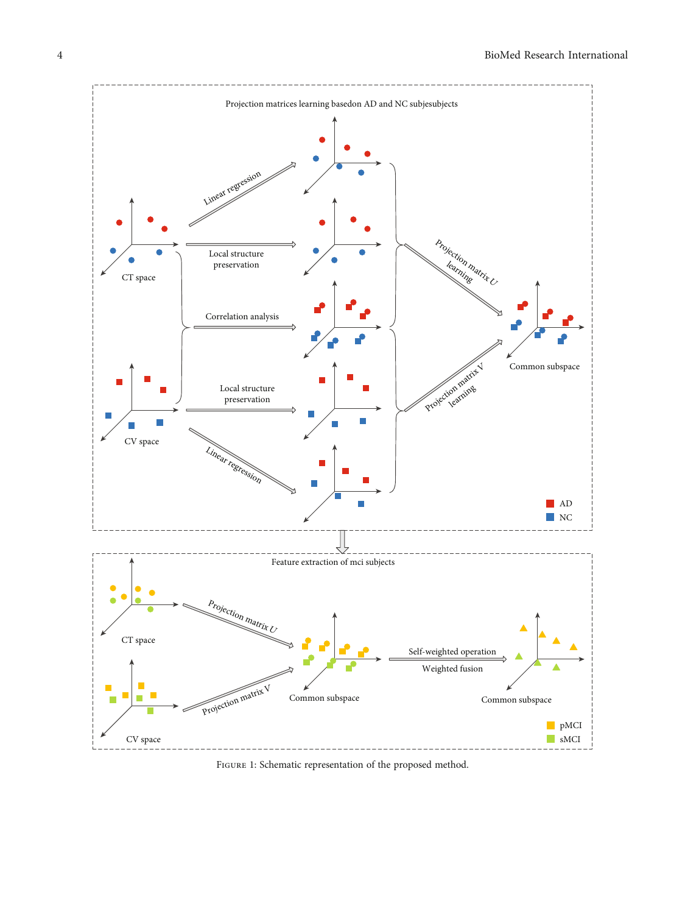<span id="page-3-0"></span>

FIGURE 1: Schematic representation of the proposed method.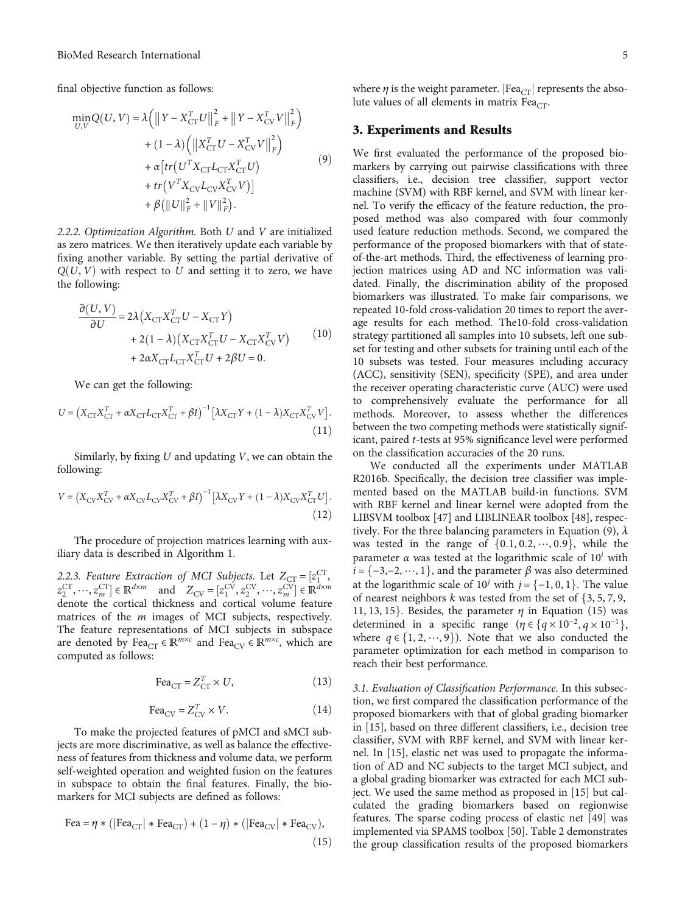<span id="page-4-0"></span>final objective function as follows:

$$
\min_{U,V} Q(U,V) = \lambda \left( \left\| Y - X_{\text{CT}}^T U \right\|_F^2 + \left\| Y - X_{\text{CV}}^T V \right\|_F^2 \right) \n+ (1 - \lambda) \left( \left\| X_{\text{CT}}^T U - X_{\text{CV}}^T V \right\|_F^2 \right) \n+ \alpha \left[ tr \left( U^T X_{\text{CT}} L_{\text{CT}} X_{\text{CT}}^T U \right) \n+ tr \left( V^T X_{\text{CV}} L_{\text{CV}} X_{\text{CV}}^T V \right) \right] \n+ \beta \left( \| U \|^2_F + \| V \|^2_F \right).
$$
\n(9)

2.2.2. Optimization Algorithm. Both *U* and *V* are initialized as zero matrices. We then iteratively update each variable by fixing another variable. By setting the partial derivative of  $Q(U, V)$  with respect to U and setting it to zero, we have the following:

$$
\frac{\partial (U, V)}{\partial U} = 2\lambda \left( X_{\text{CT}} X_{\text{CT}}^T U - X_{\text{CT}} Y \right) \n+ 2(1 - \lambda) \left( X_{\text{CT}} X_{\text{CT}}^T U - X_{\text{CT}} X_{\text{CV}}^T V \right) \n+ 2\alpha X_{\text{CT}} L_{\text{CT}} X_{\text{CT}}^T U + 2\beta U = 0.
$$
\n(10)

We can get the following:

$$
U = \left(X_{\text{CT}}X_{\text{CT}}^T + \alpha X_{\text{CT}}L_{\text{CT}}X_{\text{CT}}^T + \beta I\right)^{-1} \left[\lambda X_{\text{CT}}Y + (1 - \lambda)X_{\text{CT}}X_{\text{CV}}^T V\right].\tag{11}
$$

Similarly, by fixing *U* and updating *V*, we can obtain the following:

$$
V = (X_{\text{CV}}X_{\text{CV}}^T + \alpha X_{\text{CV}}L_{\text{CV}}X_{\text{CV}}^T + \beta I)^{-1} \left[ \lambda X_{\text{CV}}Y + (1 - \lambda)X_{\text{CV}}X_{\text{CT}}^T U \right].
$$
\n(12)

The procedure of projection matrices learning with auxiliary data is described in Algorithm [1.](#page-5-0)

2.2.3. Feature Extraction of MCI Subjects. Let  $Z_{\text{CT}} = [z_1^{\text{CT}}, z_2^{\text{CT}}] \in \mathbb{R}^{d \times m}$  and  $Z_{\text{CT}} = [z_1^{\text{CV}}, z_{\text{CV}}^{\text{CV}}] \in \mathbb{R}^{d \times n}$  $z_1^{\text{CT}}, ..., z_m^{\text{CT}}$ ]  $\in \mathbb{R}^{d \times m}$  and  $Z_{\text{CV}} = [z_1^{\text{CV}}, z_2^{\text{CV}}, ..., z_m^{\text{CV}}] \in \mathbb{R}^{d \times m}$ <br>denote the cortical thickness and cortical volume feature  $\lambda_2$ ,  $\ldots, \lambda_m$   $\in \mathbb{R}$  and  $\lambda_{CV} - \lambda_1, \lambda_2, \ldots, \lambda_m$   $\in \mathbb{R}$ <br>denote the cortical thickness and cortical volume feature matrices of the *m* images of MCI subjects, respectively. The feature representations of MCI subjects in subspace are denoted by  $\text{Fea}_{CT} \in \mathbb{R}^{m \times c}$  and  $\text{Fea}_{CV} \in \mathbb{R}^{m \times c}$ , which are computed as follows:

$$
\text{Fea}_{\text{CT}} = Z_{\text{CT}}^T \times U,\tag{13}
$$

$$
\text{Fea}_{\text{CV}} = Z_{\text{CV}}^T \times V. \tag{14}
$$

To make the projected features of pMCI and sMCI subjects are more discriminative, as well as balance the effectiveness of features from thickness and volume data, we perform self-weighted operation and weighted fusion on the features in subspace to obtain the final features. Finally, the biomarkers for MCI subjects are defined as follows:

$$
\text{Fea} = \eta * (|\text{Fea}_{\text{CT}}| * \text{Fea}_{\text{CT}}) + (1 - \eta) * (|\text{Fea}_{\text{CV}}| * \text{Fea}_{\text{CV}}),
$$
\n(15)

where  $\eta$  is the weight parameter. [Fea<sub>CT</sub>] represents the absolute values of all elements in matrix Fea $_{CT}$ .

#### 3. Experiments and Results

We first evaluated the performance of the proposed biomarkers by carrying out pairwise classifications with three classifiers, i.e., decision tree classifier, support vector machine (SVM) with RBF kernel, and SVM with linear kernel. To verify the efficacy of the feature reduction, the proposed method was also compared with four commonly used feature reduction methods. Second, we compared the performance of the proposed biomarkers with that of stateof-the-art methods. Third, the effectiveness of learning projection matrices using AD and NC information was validated. Finally, the discrimination ability of the proposed biomarkers was illustrated. To make fair comparisons, we repeated 10-fold cross-validation 20 times to report the average results for each method. The10-fold cross-validation strategy partitioned all samples into 10 subsets, left one subset for testing and other subsets for training until each of the 10 subsets was tested. Four measures including accuracy (ACC), sensitivity (SEN), specificity (SPE), and area under the receiver operating characteristic curve (AUC) were used to comprehensively evaluate the performance for all methods. Moreover, to assess whether the differences between the two competing methods were statistically significant, paired *t*-tests at 95% significance level were performed on the classification accuracies of the 20 runs.

We conducted all the experiments under MATLAB R2016b. Specifically, the decision tree classifier was implemented based on the MATLAB build-in functions. SVM with RBF kernel and linear kernel were adopted from the LIBSVM toolbox [[47](#page-10-0)] and LIBLINEAR toolbox [[48](#page-10-0)], respectively. For the three balancing parameters in Equation (9), *λ* was tested in the range of  $\{0.1, 0.2, \dots, 0.9\}$ , while the parameter *α* was tested at the logarithmic scale of 10*<sup>i</sup>* with  $i = \{-3, -2, \dots, 1\}$ , and the parameter  $\beta$  was also determined at the logarithmic scale of  $10^j$  with  $j = \{-1, 0, 1\}$ . The value of nearest neighbors  $k$  was tested from the set of  $\{3, 5, 7, 9,$ 11, 13, 15}. Besides, the parameter  $\eta$  in Equation (15) was determined in a specific range ( $\eta \in \{q \times 10^{-2}, q \times 10^{-1}\},$ where  $q \in \{1, 2, \dots, 9\}$ ). Note that we also conducted the parameter optimization for each method in comparison to reach their best performance.

3.1. Evaluation of Classification Performance. In this subsection, we first compared the classification performance of the proposed biomarkers with that of global grading biomarker in [\[15\]](#page-9-0), based on three different classifiers, i.e., decision tree classifier, SVM with RBF kernel, and SVM with linear kernel. In [\[15\]](#page-9-0), elastic net was used to propagate the information of AD and NC subjects to the target MCI subject, and a global grading biomarker was extracted for each MCI subject. We used the same method as proposed in [\[15\]](#page-9-0) but calculated the grading biomarkers based on regionwise features. The sparse coding process of elastic net [\[49\]](#page-10-0) was implemented via SPAMS toolbox [\[50\]](#page-11-0). Table [2](#page-5-0) demonstrates the group classification results of the proposed biomarkers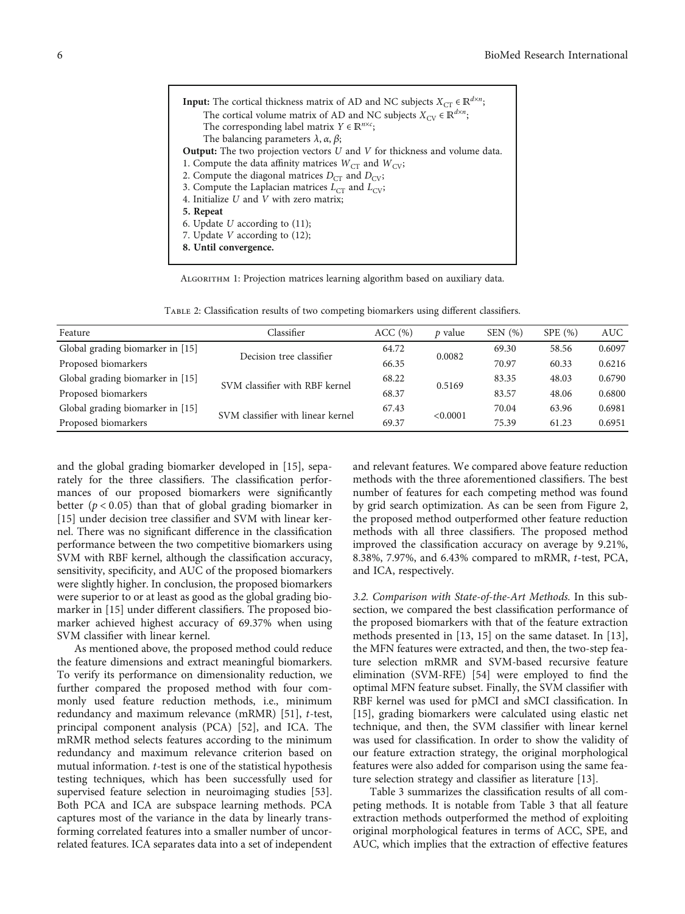<span id="page-5-0"></span>

| <b>Input:</b> The cortical thickness matrix of AD and NC subjects $X_{CT} \in \mathbb{R}^{d \times n}$ ; |
|----------------------------------------------------------------------------------------------------------|
| The cortical volume matrix of AD and NC subjects $X_{\text{CV}} \in \mathbb{R}^{d \times n}$ ;           |
| The corresponding label matrix $Y \in \mathbb{R}^{n \times c}$ ;                                         |
| The balancing parameters $\lambda$ , $\alpha$ , $\beta$ ;                                                |
| <b>Output:</b> The two projection vectors $U$ and $V$ for thickness and volume data.                     |
| 1. Compute the data affinity matrices $W_{CT}$ and $W_{CV}$ ;                                            |
| 2. Compute the diagonal matrices $D_{CT}$ and $D_{CY}$ ;                                                 |
| 3. Compute the Laplacian matrices $L_{CT}$ and $L_{CV}$ ;                                                |
| 4. Initialize $U$ and $V$ with zero matrix;                                                              |
| 5. Repeat                                                                                                |
| 6. Update U according to $(11)$ ;                                                                        |
| 7. Update $V$ according to $(12)$ ;                                                                      |
| 8. Until convergence.                                                                                    |
|                                                                                                          |

Algorithm 1: Projection matrices learning algorithm based on auxiliary data.

Table 2: Classification results of two competing biomarkers using different classifiers.

| Feature                          | Classifier                        | ACC(%) | p value  | SEN(%) | SPE(%) | <b>AUC</b> |
|----------------------------------|-----------------------------------|--------|----------|--------|--------|------------|
| Global grading biomarker in [15] | Decision tree classifier          | 64.72  | 0.0082   | 69.30  | 58.56  | 0.6097     |
| Proposed biomarkers              |                                   | 66.35  |          | 70.97  | 60.33  | 0.6216     |
| Global grading biomarker in [15] | SVM classifier with RBF kernel    | 68.22  | 0.5169   | 83.35  | 48.03  | 0.6790     |
| Proposed biomarkers              |                                   | 68.37  |          | 83.57  | 48.06  | 0.6800     |
| Global grading biomarker in [15] | SVM classifier with linear kernel | 67.43  | < 0.0001 | 70.04  | 63.96  | 0.6981     |
| Proposed biomarkers              |                                   | 69.37  |          | 75.39  | 61.23  | 0.6951     |

and the global grading biomarker developed in [\[15\]](#page-9-0), separately for the three classifiers. The classification performances of our proposed biomarkers were significantly better (*p* < 0*:*05) than that of global grading biomarker in [\[15\]](#page-9-0) under decision tree classifier and SVM with linear kernel. There was no significant difference in the classification performance between the two competitive biomarkers using SVM with RBF kernel, although the classification accuracy, sensitivity, specificity, and AUC of the proposed biomarkers were slightly higher. In conclusion, the proposed biomarkers were superior to or at least as good as the global grading biomarker in [[15](#page-9-0)] under different classifiers. The proposed biomarker achieved highest accuracy of 69.37% when using SVM classifier with linear kernel.

As mentioned above, the proposed method could reduce the feature dimensions and extract meaningful biomarkers. To verify its performance on dimensionality reduction, we further compared the proposed method with four commonly used feature reduction methods, i.e., minimum redundancy and maximum relevance (mRMR) [\[51\]](#page-11-0), *t*-test, principal component analysis (PCA) [\[52](#page-11-0)], and ICA. The mRMR method selects features according to the minimum redundancy and maximum relevance criterion based on mutual information. *t*-test is one of the statistical hypothesis testing techniques, which has been successfully used for supervised feature selection in neuroimaging studies [[53](#page-11-0)]. Both PCA and ICA are subspace learning methods. PCA captures most of the variance in the data by linearly transforming correlated features into a smaller number of uncorrelated features. ICA separates data into a set of independent and relevant features. We compared above feature reduction methods with the three aforementioned classifiers. The best number of features for each competing method was found by grid search optimization. As can be seen from Figure [2,](#page-6-0) the proposed method outperformed other feature reduction methods with all three classifiers. The proposed method improved the classification accuracy on average by 9.21%, 8.38%, 7.97%, and 6.43% compared to mRMR, *t*-test, PCA, and ICA, respectively.

3.2. Comparison with State-of-the-Art Methods. In this subsection, we compared the best classification performance of the proposed biomarkers with that of the feature extraction methods presented in [[13](#page-9-0), [15](#page-9-0)] on the same dataset. In [[13](#page-9-0)], the MFN features were extracted, and then, the two-step feature selection mRMR and SVM-based recursive feature elimination (SVM-RFE) [[54](#page-11-0)] were employed to find the optimal MFN feature subset. Finally, the SVM classifier with RBF kernel was used for pMCI and sMCI classification. In [\[15\]](#page-9-0), grading biomarkers were calculated using elastic net technique, and then, the SVM classifier with linear kernel was used for classification. In order to show the validity of our feature extraction strategy, the original morphological features were also added for comparison using the same feature selection strategy and classifier as literature [[13](#page-9-0)].

Table [3](#page-6-0) summarizes the classification results of all competing methods. It is notable from Table [3](#page-6-0) that all feature extraction methods outperformed the method of exploiting original morphological features in terms of ACC, SPE, and AUC, which implies that the extraction of effective features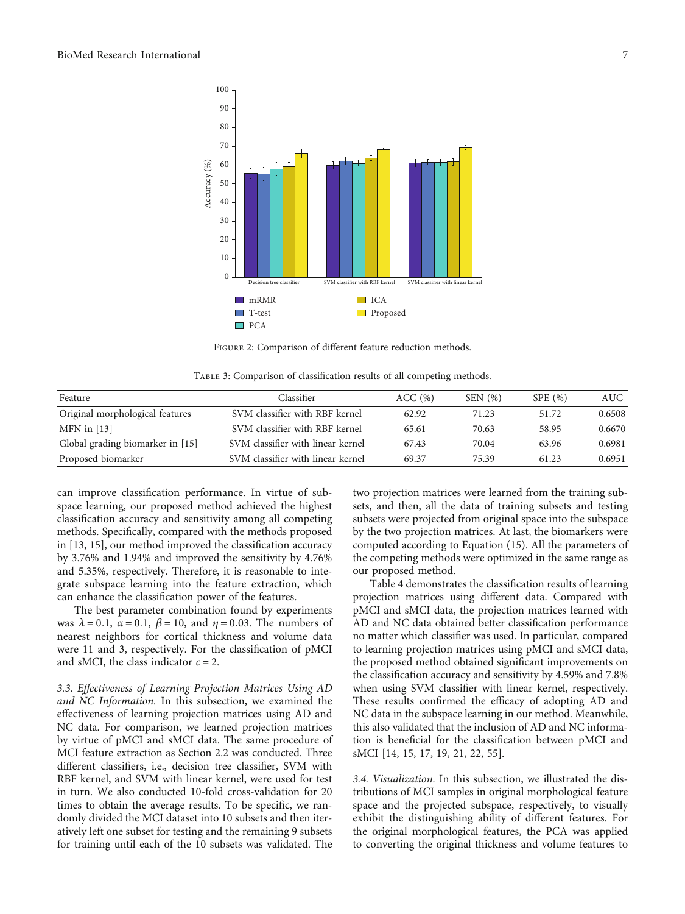<span id="page-6-0"></span>

Figure 2: Comparison of different feature reduction methods.

| TABLE 3: Comparison of classification results of all competing methods. |  |  |  |
|-------------------------------------------------------------------------|--|--|--|
|                                                                         |  |  |  |

| Feature                          | Classifier                        | ACC(%) | SEN(%) | SPE(%) | <b>AUC</b> |
|----------------------------------|-----------------------------------|--------|--------|--------|------------|
| Original morphological features  | SVM classifier with RBF kernel    | 62.92  | 71.23  | 51.72  | 0.6508     |
| $MFN$ in [13]                    | SVM classifier with RBF kernel    | 65.61  | 70.63  | 58.95  | 0.6670     |
| Global grading biomarker in [15] | SVM classifier with linear kernel | 67.43  | 70.04  | 63.96  | 0.6981     |
| Proposed biomarker               | SVM classifier with linear kernel | 69.37  | 75.39  | 61.23  | 0.6951     |

can improve classification performance. In virtue of subspace learning, our proposed method achieved the highest classification accuracy and sensitivity among all competing methods. Specifically, compared with the methods proposed in [\[13, 15](#page-9-0)], our method improved the classification accuracy by 3.76% and 1.94% and improved the sensitivity by 4.76% and 5.35%, respectively. Therefore, it is reasonable to integrate subspace learning into the feature extraction, which can enhance the classification power of the features.

The best parameter combination found by experiments was  $λ = 0.1$ ,  $α = 0.1$ ,  $β = 10$ , and  $η = 0.03$ . The numbers of nearest neighbors for cortical thickness and volume data were 11 and 3, respectively. For the classification of pMCI and sMCI, the class indicator  $c = 2$ .

3.3. Effectiveness of Learning Projection Matrices Using AD and NC Information. In this subsection, we examined the effectiveness of learning projection matrices using AD and NC data. For comparison, we learned projection matrices by virtue of pMCI and sMCI data. The same procedure of MCI feature extraction as Section [2.2](#page-1-0) was conducted. Three different classifiers, i.e., decision tree classifier, SVM with RBF kernel, and SVM with linear kernel, were used for test in turn. We also conducted 10-fold cross-validation for 20 times to obtain the average results. To be specific, we randomly divided the MCI dataset into 10 subsets and then iteratively left one subset for testing and the remaining 9 subsets for training until each of the 10 subsets was validated. The

two projection matrices were learned from the training subsets, and then, all the data of training subsets and testing subsets were projected from original space into the subspace by the two projection matrices. At last, the biomarkers were computed according to Equation [\(15\)](#page-4-0). All the parameters of the competing methods were optimized in the same range as our proposed method.

Table [4](#page-7-0) demonstrates the classification results of learning projection matrices using different data. Compared with pMCI and sMCI data, the projection matrices learned with AD and NC data obtained better classification performance no matter which classifier was used. In particular, compared to learning projection matrices using pMCI and sMCI data, the proposed method obtained significant improvements on the classification accuracy and sensitivity by 4.59% and 7.8% when using SVM classifier with linear kernel, respectively. These results confirmed the efficacy of adopting AD and NC data in the subspace learning in our method. Meanwhile, this also validated that the inclusion of AD and NC information is beneficial for the classification between pMCI and sMCI [[14](#page-9-0), [15](#page-9-0), [17](#page-10-0), [19, 21, 22](#page-10-0), [55](#page-11-0)].

3.4. Visualization. In this subsection, we illustrated the distributions of MCI samples in original morphological feature space and the projected subspace, respectively, to visually exhibit the distinguishing ability of different features. For the original morphological features, the PCA was applied to converting the original thickness and volume features to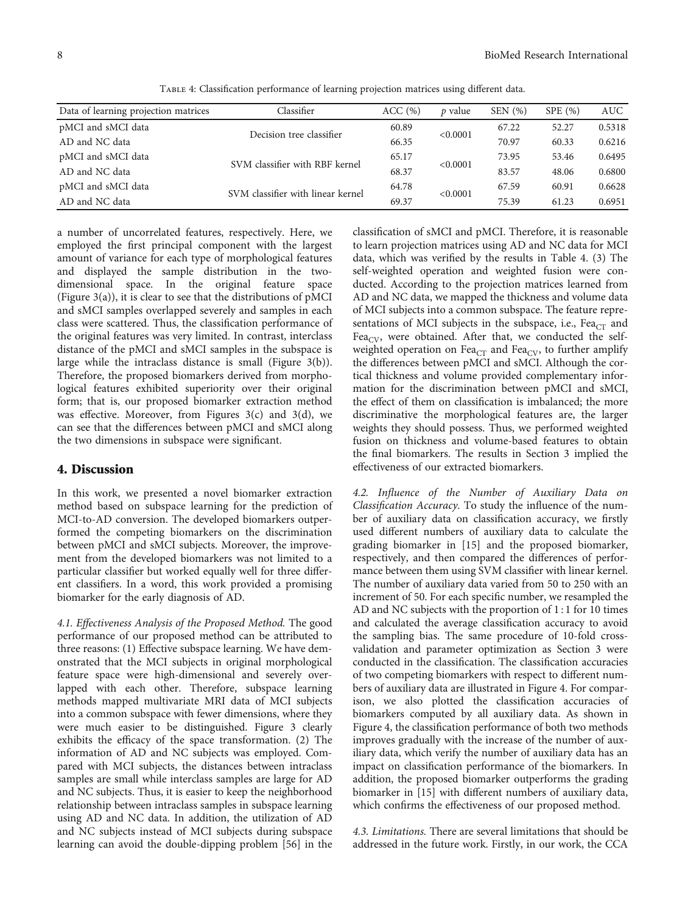<span id="page-7-0"></span>

| Data of learning projection matrices | Classifier                        | ACC(%) | <i>p</i> value | SEN $(\% )$ | SPE(%) | AUC .  |
|--------------------------------------|-----------------------------------|--------|----------------|-------------|--------|--------|
| pMCI and sMCI data                   | Decision tree classifier          | 60.89  | < 0.0001       | 67.22       | 52.27  | 0.5318 |
| AD and NC data                       |                                   | 66.35  |                | 70.97       | 60.33  | 0.6216 |
| pMCI and sMCI data                   | SVM classifier with RBF kernel    | 65.17  | < 0.0001       | 73.95       | 53.46  | 0.6495 |
| AD and NC data                       |                                   | 68.37  |                | 83.57       | 48.06  | 0.6800 |
| pMCI and sMCI data                   | SVM classifier with linear kernel | 64.78  | < 0.0001       | 67.59       | 60.91  | 0.6628 |
| AD and NC data                       |                                   | 69.37  |                | 75.39       | 61.23  | 0.6951 |

Table 4: Classification performance of learning projection matrices using different data.

a number of uncorrelated features, respectively. Here, we employed the first principal component with the largest amount of variance for each type of morphological features and displayed the sample distribution in the twodimensional space. In the original feature space (Figure  $3(a)$ ), it is clear to see that the distributions of pMCI and sMCI samples overlapped severely and samples in each class were scattered. Thus, the classification performance of the original features was very limited. In contrast, interclass distance of the pMCI and sMCI samples in the subspace is large while the intraclass distance is small (Figure [3\(b\)](#page-8-0)). Therefore, the proposed biomarkers derived from morphological features exhibited superiority over their original form; that is, our proposed biomarker extraction method was effective. Moreover, from Figures  $3(c)$  and  $3(d)$ , we can see that the differences between pMCI and sMCI along the two dimensions in subspace were significant.

#### 4. Discussion

In this work, we presented a novel biomarker extraction method based on subspace learning for the prediction of MCI-to-AD conversion. The developed biomarkers outperformed the competing biomarkers on the discrimination between pMCI and sMCI subjects. Moreover, the improvement from the developed biomarkers was not limited to a particular classifier but worked equally well for three different classifiers. In a word, this work provided a promising biomarker for the early diagnosis of AD.

4.1. Effectiveness Analysis of the Proposed Method. The good performance of our proposed method can be attributed to three reasons: (1) Effective subspace learning. We have demonstrated that the MCI subjects in original morphological feature space were high-dimensional and severely overlapped with each other. Therefore, subspace learning methods mapped multivariate MRI data of MCI subjects into a common subspace with fewer dimensions, where they were much easier to be distinguished. Figure [3](#page-8-0) clearly exhibits the efficacy of the space transformation. (2) The information of AD and NC subjects was employed. Compared with MCI subjects, the distances between intraclass samples are small while interclass samples are large for AD and NC subjects. Thus, it is easier to keep the neighborhood relationship between intraclass samples in subspace learning using AD and NC data. In addition, the utilization of AD and NC subjects instead of MCI subjects during subspace learning can avoid the double-dipping problem [\[56](#page-11-0)] in the classification of sMCI and pMCI. Therefore, it is reasonable to learn projection matrices using AD and NC data for MCI data, which was verified by the results in Table 4. (3) The self-weighted operation and weighted fusion were conducted. According to the projection matrices learned from AD and NC data, we mapped the thickness and volume data of MCI subjects into a common subspace. The feature representations of MCI subjects in the subspace, i.e.,  $Fea<sub>CT</sub>$  and Fea<sub>CV</sub>, were obtained. After that, we conducted the selfweighted operation on Fea $_{CT}$  and Fea $_{CV}$ , to further amplify the differences between pMCI and sMCI. Although the cortical thickness and volume provided complementary information for the discrimination between pMCI and sMCI, the effect of them on classification is imbalanced; the more discriminative the morphological features are, the larger weights they should possess. Thus, we performed weighted fusion on thickness and volume-based features to obtain the final biomarkers. The results in Section [3](#page-4-0) implied the effectiveness of our extracted biomarkers.

4.2. Influence of the Number of Auxiliary Data on Classification Accuracy. To study the influence of the number of auxiliary data on classification accuracy, we firstly used different numbers of auxiliary data to calculate the grading biomarker in [[15\]](#page-9-0) and the proposed biomarker, respectively, and then compared the differences of performance between them using SVM classifier with linear kernel. The number of auxiliary data varied from 50 to 250 with an increment of 50. For each specific number, we resampled the AD and NC subjects with the proportion of 1 : 1 for 10 times and calculated the average classification accuracy to avoid the sampling bias. The same procedure of 10-fold crossvalidation and parameter optimization as Section [3](#page-4-0) were conducted in the classification. The classification accuracies of two competing biomarkers with respect to different numbers of auxiliary data are illustrated in Figure [4](#page-8-0). For comparison, we also plotted the classification accuracies of biomarkers computed by all auxiliary data. As shown in Figure [4,](#page-8-0) the classification performance of both two methods improves gradually with the increase of the number of auxiliary data, which verify the number of auxiliary data has an impact on classification performance of the biomarkers. In addition, the proposed biomarker outperforms the grading biomarker in [[15](#page-9-0)] with different numbers of auxiliary data, which confirms the effectiveness of our proposed method.

4.3. Limitations. There are several limitations that should be addressed in the future work. Firstly, in our work, the CCA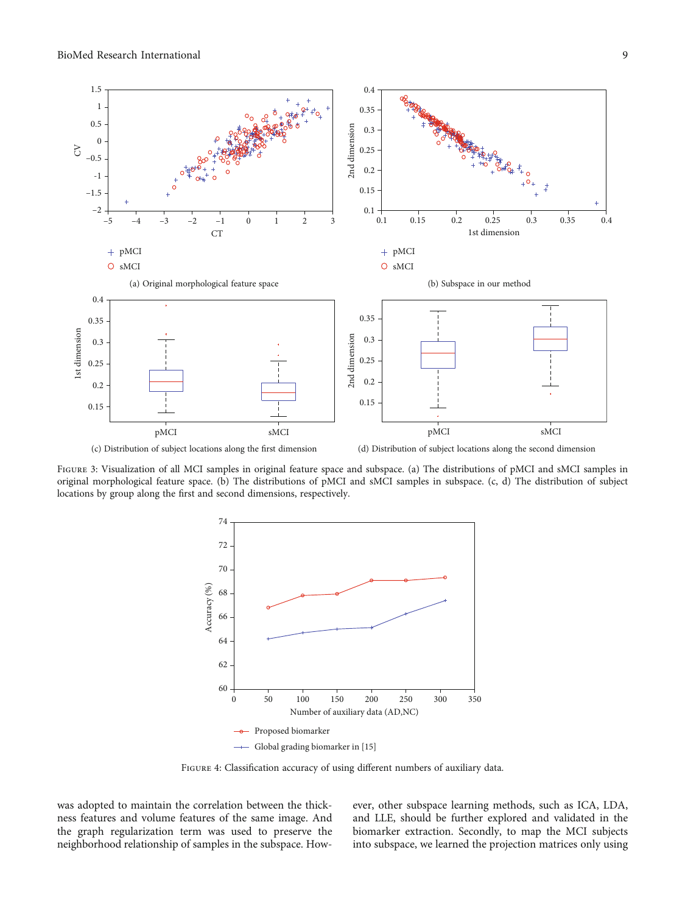<span id="page-8-0"></span>

FIGURE 3: Visualization of all MCI samples in original feature space and subspace. (a) The distributions of pMCI and sMCI samples in original morphological feature space. (b) The distributions of pMCI and sMCI samples in subspace. (c, d) The distribution of subject locations by group along the first and second dimensions, respectively.



Figure 4: Classification accuracy of using different numbers of auxiliary data.

was adopted to maintain the correlation between the thickness features and volume features of the same image. And the graph regularization term was used to preserve the neighborhood relationship of samples in the subspace. However, other subspace learning methods, such as ICA, LDA, and LLE, should be further explored and validated in the biomarker extraction. Secondly, to map the MCI subjects into subspace, we learned the projection matrices only using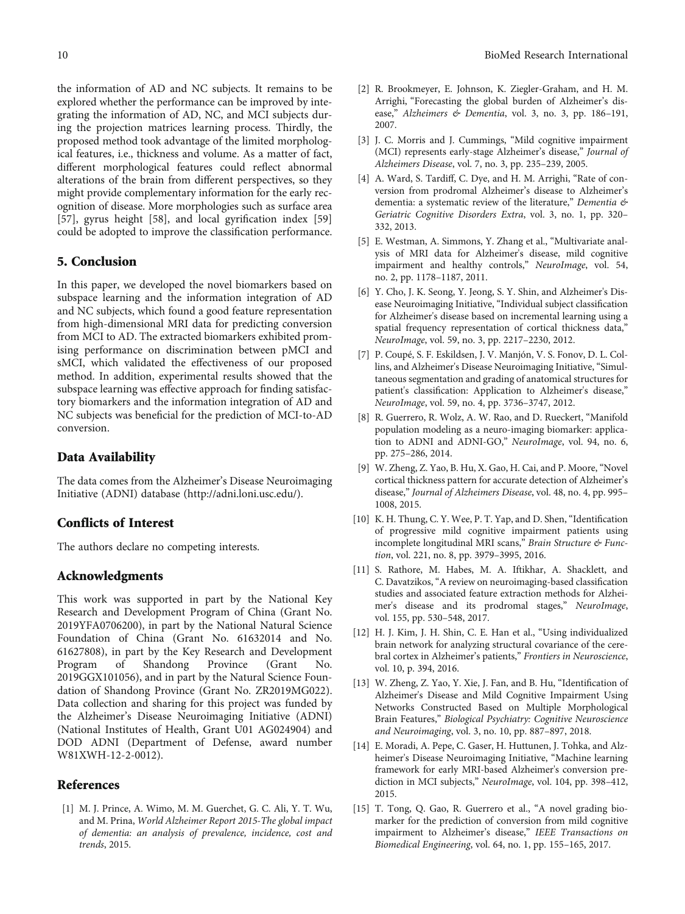<span id="page-9-0"></span>the information of AD and NC subjects. It remains to be explored whether the performance can be improved by integrating the information of AD, NC, and MCI subjects during the projection matrices learning process. Thirdly, the proposed method took advantage of the limited morphological features, i.e., thickness and volume. As a matter of fact, different morphological features could reflect abnormal alterations of the brain from different perspectives, so they might provide complementary information for the early recognition of disease. More morphologies such as surface area [\[57](#page-11-0)], gyrus height [[58](#page-11-0)], and local gyrification index [[59\]](#page-11-0) could be adopted to improve the classification performance.

#### 5. Conclusion

In this paper, we developed the novel biomarkers based on subspace learning and the information integration of AD and NC subjects, which found a good feature representation from high-dimensional MRI data for predicting conversion from MCI to AD. The extracted biomarkers exhibited promising performance on discrimination between pMCI and sMCI, which validated the effectiveness of our proposed method. In addition, experimental results showed that the subspace learning was effective approach for finding satisfactory biomarkers and the information integration of AD and NC subjects was beneficial for the prediction of MCI-to-AD conversion.

#### Data Availability

The data comes from the Alzheimer's Disease Neuroimaging Initiative (ADNI) database [\(http://adni.loni.usc.edu/\)](http://adni.loni.usc.edu/).

#### Conflicts of Interest

The authors declare no competing interests.

#### Acknowledgments

This work was supported in part by the National Key Research and Development Program of China (Grant No. 2019YFA0706200), in part by the National Natural Science Foundation of China (Grant No. 61632014 and No. 61627808), in part by the Key Research and Development Program of Shandong Province (Grant No. 2019GGX101056), and in part by the Natural Science Foundation of Shandong Province (Grant No. ZR2019MG022). Data collection and sharing for this project was funded by the Alzheimer's Disease Neuroimaging Initiative (ADNI) (National Institutes of Health, Grant U01 AG024904) and DOD ADNI (Department of Defense, award number W81XWH-12-2-0012).

#### References

[1] M. J. Prince, A. Wimo, M. M. Guerchet, G. C. Ali, Y. T. Wu, and M. Prina, World Alzheimer Report 2015-The global impact of dementia: an analysis of prevalence, incidence, cost and trends, 2015.

- [2] R. Brookmeyer, E. Johnson, K. Ziegler‐Graham, and H. M. Arrighi, "Forecasting the global burden of Alzheimer's disease," Alzheimers & Dementia, vol. 3, no. 3, pp. 186-191, 2007.
- [3] J. C. Morris and J. Cummings, "Mild cognitive impairment (MCI) represents early-stage Alzheimer's disease," Journal of Alzheimers Disease, vol. 7, no. 3, pp. 235–239, 2005.
- [4] A. Ward, S. Tardiff, C. Dye, and H. M. Arrighi, "Rate of conversion from prodromal Alzheimer's disease to Alzheimer's dementia: a systematic review of the literature," Dementia & Geriatric Cognitive Disorders Extra, vol. 3, no. 1, pp. 320– 332, 2013.
- [5] E. Westman, A. Simmons, Y. Zhang et al., "Multivariate analysis of MRI data for Alzheimer's disease, mild cognitive impairment and healthy controls," NeuroImage, vol. 54, no. 2, pp. 1178–1187, 2011.
- [6] Y. Cho, J. K. Seong, Y. Jeong, S. Y. Shin, and Alzheimer's Disease Neuroimaging Initiative, "Individual subject classification for Alzheimer's disease based on incremental learning using a spatial frequency representation of cortical thickness data," NeuroImage, vol. 59, no. 3, pp. 2217–2230, 2012.
- [7] P. Coupé, S. F. Eskildsen, J. V. Manjón, V. S. Fonov, D. L. Collins, and Alzheimer's Disease Neuroimaging Initiative, "Simultaneous segmentation and grading of anatomical structures for patient's classification: Application to Alzheimer's disease," NeuroImage, vol. 59, no. 4, pp. 3736–3747, 2012.
- [8] R. Guerrero, R. Wolz, A. W. Rao, and D. Rueckert, "Manifold population modeling as a neuro-imaging biomarker: application to ADNI and ADNI-GO," NeuroImage, vol. 94, no. 6, pp. 275–286, 2014.
- [9] W. Zheng, Z. Yao, B. Hu, X. Gao, H. Cai, and P. Moore, "Novel cortical thickness pattern for accurate detection of Alzheimer's disease," Journal of Alzheimers Disease, vol. 48, no. 4, pp. 995– 1008, 2015.
- [10] K. H. Thung, C. Y. Wee, P. T. Yap, and D. Shen, "Identification of progressive mild cognitive impairment patients using incomplete longitudinal MRI scans," Brain Structure & Function, vol. 221, no. 8, pp. 3979–3995, 2016.
- [11] S. Rathore, M. Habes, M. A. Iftikhar, A. Shacklett, and C. Davatzikos, "A review on neuroimaging-based classification studies and associated feature extraction methods for Alzheimer's disease and its prodromal stages," NeuroImage, vol. 155, pp. 530–548, 2017.
- [12] H. J. Kim, J. H. Shin, C. E. Han et al., "Using individualized brain network for analyzing structural covariance of the cerebral cortex in Alzheimer's patients," Frontiers in Neuroscience, vol. 10, p. 394, 2016.
- [13] W. Zheng, Z. Yao, Y. Xie, J. Fan, and B. Hu, "Identification of Alzheimer's Disease and Mild Cognitive Impairment Using Networks Constructed Based on Multiple Morphological Brain Features," Biological Psychiatry: Cognitive Neuroscience and Neuroimaging, vol. 3, no. 10, pp. 887–897, 2018.
- [14] E. Moradi, A. Pepe, C. Gaser, H. Huttunen, J. Tohka, and Alzheimer's Disease Neuroimaging Initiative, "Machine learning framework for early MRI-based Alzheimer's conversion prediction in MCI subjects," NeuroImage, vol. 104, pp. 398–412, 2015.
- [15] T. Tong, Q. Gao, R. Guerrero et al., "A novel grading biomarker for the prediction of conversion from mild cognitive impairment to Alzheimer's disease," IEEE Transactions on Biomedical Engineering, vol. 64, no. 1, pp. 155–165, 2017.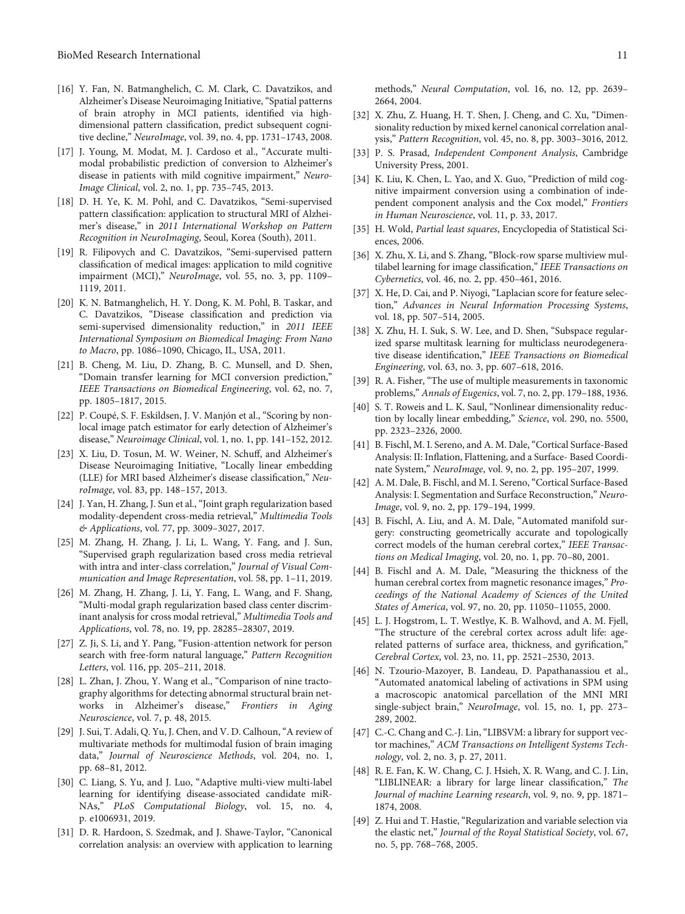- <span id="page-10-0"></span>[16] Y. Fan, N. Batmanghelich, C. M. Clark, C. Davatzikos, and Alzheimer's Disease Neuroimaging Initiative, "Spatial patterns of brain atrophy in MCI patients, identified via highdimensional pattern classification, predict subsequent cognitive decline," NeuroImage, vol. 39, no. 4, pp. 1731–1743, 2008.
- [17] J. Young, M. Modat, M. J. Cardoso et al., "Accurate multimodal probabilistic prediction of conversion to Alzheimer's disease in patients with mild cognitive impairment," Neuro-Image Clinical, vol. 2, no. 1, pp. 735–745, 2013.
- [18] D. H. Ye, K. M. Pohl, and C. Davatzikos, "Semi-supervised pattern classification: application to structural MRI of Alzheimer's disease," in 2011 International Workshop on Pattern Recognition in NeuroImaging, Seoul, Korea (South), 2011.
- [19] R. Filipovych and C. Davatzikos, "Semi-supervised pattern classification of medical images: application to mild cognitive impairment (MCI)," NeuroImage, vol. 55, no. 3, pp. 1109– 1119, 2011.
- [20] K. N. Batmanghelich, H. Y. Dong, K. M. Pohl, B. Taskar, and C. Davatzikos, "Disease classification and prediction via semi-supervised dimensionality reduction," in 2011 IEEE International Symposium on Biomedical Imaging: From Nano to Macro, pp. 1086–1090, Chicago, IL, USA, 2011.
- [21] B. Cheng, M. Liu, D. Zhang, B. C. Munsell, and D. Shen, "Domain transfer learning for MCI conversion prediction," IEEE Transactions on Biomedical Engineering, vol. 62, no. 7, pp. 1805–1817, 2015.
- [22] P. Coupé, S. F. Eskildsen, J. V. Manjón et al., "Scoring by nonlocal image patch estimator for early detection of Alzheimer's disease," Neuroimage Clinical, vol. 1, no. 1, pp. 141–152, 2012.
- [23] X. Liu, D. Tosun, M. W. Weiner, N. Schuff, and Alzheimer's Disease Neuroimaging Initiative, "Locally linear embedding (LLE) for MRI based Alzheimer's disease classification," NeuroImage, vol. 83, pp. 148–157, 2013.
- [24] J. Yan, H. Zhang, J. Sun et al., "Joint graph regularization based modality-dependent cross-media retrieval," Multimedia Tools & Applications, vol. 77, pp. 3009–3027, 2017.
- [25] M. Zhang, H. Zhang, J. Li, L. Wang, Y. Fang, and J. Sun, "Supervised graph regularization based cross media retrieval with intra and inter-class correlation," Journal of Visual Communication and Image Representation, vol. 58, pp. 1–11, 2019.
- [26] M. Zhang, H. Zhang, J. Li, Y. Fang, L. Wang, and F. Shang, "Multi-modal graph regularization based class center discriminant analysis for cross modal retrieval," Multimedia Tools and Applications, vol. 78, no. 19, pp. 28285–28307, 2019.
- [27] Z. Ji, S. Li, and Y. Pang, "Fusion-attention network for person search with free-form natural language," Pattern Recognition Letters, vol. 116, pp. 205–211, 2018.
- [28] L. Zhan, J. Zhou, Y. Wang et al., "Comparison of nine tractography algorithms for detecting abnormal structural brain networks in Alzheimer's disease," Frontiers in Aging Neuroscience, vol. 7, p. 48, 2015.
- [29] J. Sui, T. Adali, Q. Yu, J. Chen, and V. D. Calhoun, "A review of multivariate methods for multimodal fusion of brain imaging data," Journal of Neuroscience Methods, vol. 204, no. 1, pp. 68–81, 2012.
- [30] C. Liang, S. Yu, and J. Luo, "Adaptive multi-view multi-label learning for identifying disease-associated candidate miR-NAs," PLoS Computational Biology, vol. 15, no. 4, p. e1006931, 2019.
- [31] D. R. Hardoon, S. Szedmak, and J. Shawe-Taylor, "Canonical correlation analysis: an overview with application to learning

methods," Neural Computation, vol. 16, no. 12, pp. 2639– 2664, 2004.

- [32] X. Zhu, Z. Huang, H. T. Shen, J. Cheng, and C. Xu, "Dimensionality reduction by mixed kernel canonical correlation analysis," Pattern Recognition, vol. 45, no. 8, pp. 3003–3016, 2012.
- [33] P. S. Prasad, Independent Component Analysis, Cambridge University Press, 2001.
- [34] K. Liu, K. Chen, L. Yao, and X. Guo, "Prediction of mild cognitive impairment conversion using a combination of independent component analysis and the Cox model," Frontiers in Human Neuroscience, vol. 11, p. 33, 2017.
- [35] H. Wold, Partial least squares, Encyclopedia of Statistical Sciences, 2006.
- [36] X. Zhu, X. Li, and S. Zhang, "Block-row sparse multiview multilabel learning for image classification," IEEE Transactions on Cybernetics, vol. 46, no. 2, pp. 450–461, 2016.
- [37] X. He, D. Cai, and P. Niyogi, "Laplacian score for feature selection," Advances in Neural Information Processing Systems, vol. 18, pp. 507–514, 2005.
- [38] X. Zhu, H. I. Suk, S. W. Lee, and D. Shen, "Subspace regularized sparse multitask learning for multiclass neurodegenerative disease identification," IEEE Transactions on Biomedical Engineering, vol. 63, no. 3, pp. 607–618, 2016.
- [39] R. A. Fisher, "The use of multiple measurements in taxonomic problems," Annals of Eugenics, vol. 7, no. 2, pp. 179–188, 1936.
- [40] S. T. Roweis and L. K. Saul, "Nonlinear dimensionality reduction by locally linear embedding," Science, vol. 290, no. 5500, pp. 2323–2326, 2000.
- [41] B. Fischl, M. I. Sereno, and A. M. Dale, "Cortical Surface-Based Analysis: II: Inflation, Flattening, and a Surface- Based Coordinate System," NeuroImage, vol. 9, no. 2, pp. 195–207, 1999.
- [42] A. M. Dale, B. Fischl, and M. I. Sereno, "Cortical Surface-Based Analysis: I. Segmentation and Surface Reconstruction," Neuro-Image, vol. 9, no. 2, pp. 179–194, 1999.
- [43] B. Fischl, A. Liu, and A. M. Dale, "Automated manifold surgery: constructing geometrically accurate and topologically correct models of the human cerebral cortex," IEEE Transactions on Medical Imaging, vol. 20, no. 1, pp. 70–80, 2001.
- [44] B. Fischl and A. M. Dale, "Measuring the thickness of the human cerebral cortex from magnetic resonance images," Proceedings of the National Academy of Sciences of the United States of America, vol. 97, no. 20, pp. 11050–11055, 2000.
- [45] L. J. Hogstrom, L. T. Westlye, K. B. Walhovd, and A. M. Fjell, "The structure of the cerebral cortex across adult life: agerelated patterns of surface area, thickness, and gyrification," Cerebral Cortex, vol. 23, no. 11, pp. 2521–2530, 2013.
- [46] N. Tzourio-Mazoyer, B. Landeau, D. Papathanassiou et al., "Automated anatomical labeling of activations in SPM using a macroscopic anatomical parcellation of the MNI MRI single-subject brain," NeuroImage, vol. 15, no. 1, pp. 273– 289, 2002.
- [47] C.-C. Chang and C.-J. Lin, "LIBSVM: a library for support vector machines," ACM Transactions on Intelligent Systems Technology, vol. 2, no. 3, p. 27, 2011.
- [48] R. E. Fan, K. W. Chang, C. J. Hsieh, X. R. Wang, and C. J. Lin, "LIBLINEAR: a library for large linear classification," The Journal of machine Learning research, vol. 9, no. 9, pp. 1871– 1874, 2008.
- [49] Z. Hui and T. Hastie, "Regularization and variable selection via the elastic net," Journal of the Royal Statistical Society, vol. 67, no. 5, pp. 768–768, 2005.